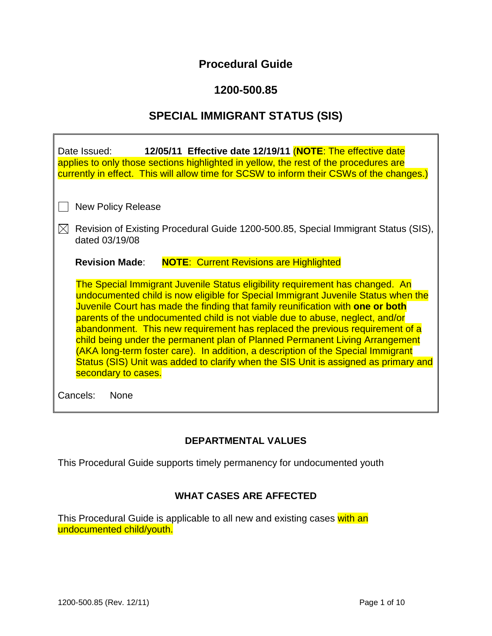# **Procedural Guide**

# **1200-500.85**

# **SPECIAL IMMIGRANT STATUS (SIS)**

| 12/05/11 Effective date 12/19/11 (NOTE: The effective date<br>Date Issued:<br>applies to only those sections highlighted in yellow, the rest of the procedures are<br>currently in effect. This will allow time for SCSW to inform their CSWs of the changes.)                                                                                                                                                                                                                                                                                                                                                                                                                                          |  |  |
|---------------------------------------------------------------------------------------------------------------------------------------------------------------------------------------------------------------------------------------------------------------------------------------------------------------------------------------------------------------------------------------------------------------------------------------------------------------------------------------------------------------------------------------------------------------------------------------------------------------------------------------------------------------------------------------------------------|--|--|
| <b>New Policy Release</b>                                                                                                                                                                                                                                                                                                                                                                                                                                                                                                                                                                                                                                                                               |  |  |
| Revision of Existing Procedural Guide 1200-500.85, Special Immigrant Status (SIS),<br>dated 03/19/08                                                                                                                                                                                                                                                                                                                                                                                                                                                                                                                                                                                                    |  |  |
| <b>NOTE: Current Revisions are Highlighted</b><br><b>Revision Made:</b>                                                                                                                                                                                                                                                                                                                                                                                                                                                                                                                                                                                                                                 |  |  |
| The Special Immigrant Juvenile Status eligibility requirement has changed. An<br>undocumented child is now eligible for Special Immigrant Juvenile Status when the<br>Juvenile Court has made the finding that family reunification with one or both<br>parents of the undocumented child is not viable due to abuse, neglect, and/or<br>abandonment. This new requirement has replaced the previous requirement of a<br>child being under the permanent plan of Planned Permanent Living Arrangement<br>(AKA long-term foster care). In addition, a description of the Special Immigrant<br>Status (SIS) Unit was added to clarify when the SIS Unit is assigned as primary and<br>secondary to cases. |  |  |
| Cancels:<br><b>None</b>                                                                                                                                                                                                                                                                                                                                                                                                                                                                                                                                                                                                                                                                                 |  |  |

## **DEPARTMENTAL VALUES**

This Procedural Guide supports timely permanency for undocumented youth

## **WHAT CASES ARE AFFECTED**

This Procedural Guide is applicable to all new and existing cases with an undocumented child/youth.

 $\overline{\mathsf{r}}$ 

┓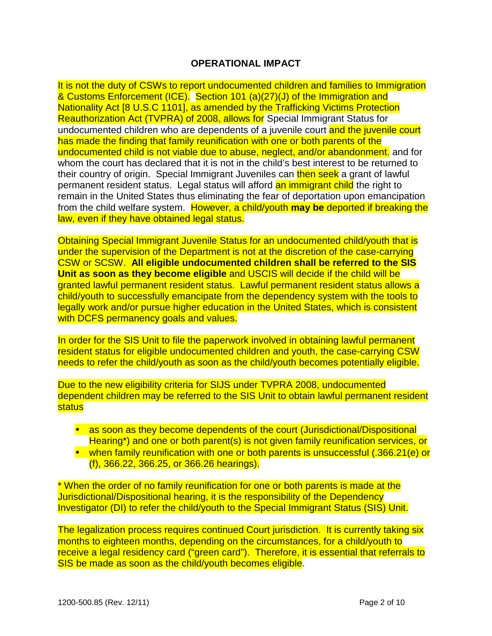## **OPERATIONAL IMPACT**

It is not the duty of CSWs to report undocumented children and families to Immigration & Customs Enforcement (ICE). Section 101 (a)(27)(J) of the Immigration and Nationality Act [8 U.S.C 1101], as amended by the Trafficking Victims Protection Reauthorization Act (TVPRA) of 2008, allows for Special Immigrant Status for undocumented children who are dependents of a juvenile court and the juvenile court has made the finding that family reunification with one or both parents of the undocumented child is not viable due to abuse, neglect, and/or abandonment. and for whom the court has declared that it is not in the child's best interest to be returned to their country of origin. Special Immigrant Juveniles can then seek a grant of lawful permanent resident status. Legal status will afford an immigrant child the right to remain in the United States thus eliminating the fear of deportation upon emancipation from the child welfare system. However, a child/youth **may be** deported if breaking the law, even if they have obtained legal status.

Obtaining Special Immigrant Juvenile Status for an undocumented child/youth that is under the supervision of the Department is not at the discretion of the case-carrying CSW or SCSW. **All eligible undocumented children shall be referred to the SIS Unit as soon as they become eligible** and USCIS will decide if the child will be granted lawful permanent resident status. Lawful permanent resident status allows a child/youth to successfully emancipate from the dependency system with the tools to legally work and/or pursue higher education in the United States, which is consistent with DCFS permanency goals and values.

In order for the SIS Unit to file the paperwork involved in obtaining lawful permanent resident status for eligible undocumented children and youth, the case-carrying CSW needs to refer the child/youth as soon as the child/youth becomes potentially eligible.

Due to the new eligibility criteria for SIJS under TVPRA 2008, undocumented dependent children may be referred to the SIS Unit to obtain lawful permanent resident status

- as soon as they become dependents of the court (Jurisdictional/Dispositional Hearing\*) and one or both parent(s) is not given family reunification services, or
- when family reunification with one or both parents is unsuccessful (.366.21(e) or (f), 366.22, 366.25, or 366.26 hearings).

\* When the order of no family reunification for one or both parents is made at the Jurisdictional/Dispositional hearing, it is the responsibility of the Dependency Investigator (DI) to refer the child/youth to the Special Immigrant Status (SIS) Unit.

The legalization process requires continued Court jurisdiction. It is currently taking six months to eighteen months, depending on the circumstances, for a child/youth to receive a legal residency card ("green card"). Therefore, it is essential that referrals to SIS be made as soon as the child/youth becomes eligible.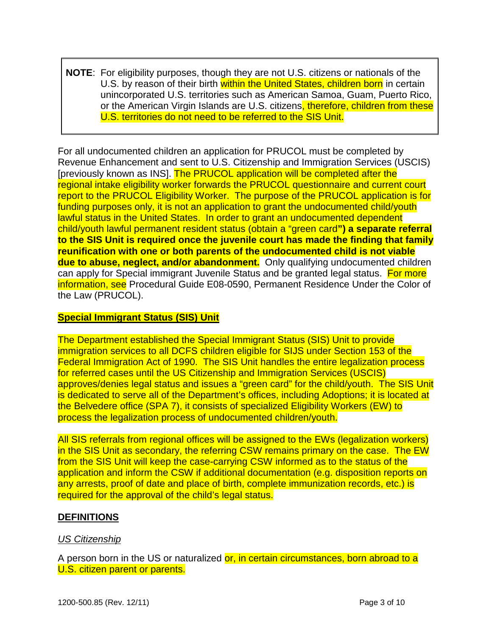**NOTE**: For eligibility purposes, though they are not U.S. citizens or nationals of the U.S. by reason of their birth within the United States, children born in certain unincorporated U.S. territories such as American Samoa, Guam, Puerto Rico, or the American Virgin Islands are U.S. citizens, therefore, children from these U.S. territories do not need to be referred to the SIS Unit.

For all undocumented children an application for PRUCOL must be completed by Revenue Enhancement and sent to U.S. Citizenship and Immigration Services (USCIS) [previously known as INS]. The PRUCOL application will be completed after the regional intake eligibility worker forwards the PRUCOL questionnaire and current court report to the PRUCOL Eligibility Worker. The purpose of the PRUCOL application is for funding purposes only, it is not an application to grant the undocumented child/youth lawful status in the United States. In order to grant an undocumented dependent child/youth lawful permanent resident status (obtain a "green card**") a separate referral to the SIS Unit is required once the juvenile court has made the finding that family reunification with one or both parents of the undocumented child is not viable due to abuse, neglect, and/or abandonment.** Only qualifying undocumented children can apply for Special immigrant Juvenile Status and be granted legal status. For more information, see Procedural Guide E08-0590, Permanent Residence Under the Color of the Law (PRUCOL).

### **Special Immigrant Status (SIS) Unit**

The Department established the Special Immigrant Status (SIS) Unit to provide immigration services to all DCFS children eligible for SIJS under Section 153 of the Federal Immigration Act of 1990. The SIS Unit handles the entire legalization process for referred cases until the US Citizenship and Immigration Services (USCIS) approves/denies legal status and issues a "green card" for the child/youth. The SIS Unit is dedicated to serve all of the Department's offices, including Adoptions; it is located at the Belvedere office (SPA 7), it consists of specialized Eligibility Workers (EW) to process the legalization process of undocumented children/youth.

All SIS referrals from regional offices will be assigned to the EWs (legalization workers) in the SIS Unit as secondary, the referring CSW remains primary on the case. The EW from the SIS Unit will keep the case-carrying CSW informed as to the status of the application and inform the CSW if additional documentation (e.g. disposition reports on any arrests, proof of date and place of birth, complete immunization records, etc.) is required for the approval of the child's legal status.

## **DEFINITIONS**

## *US Citizenship*

A person born in the US or naturalized or, in certain circumstances, born abroad to a U.S. citizen parent or parents.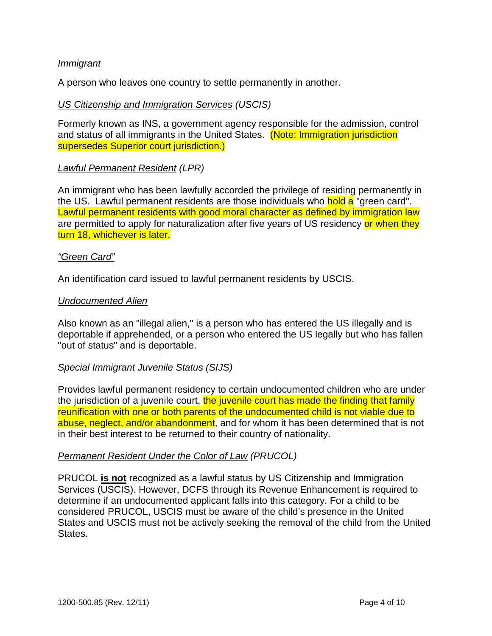#### *Immigrant*

A person who leaves one country to settle permanently in another.

#### *US Citizenship and Immigration Services (USCIS)*

Formerly known as INS, a government agency responsible for the admission, control and status of all immigrants in the United States. (Note: Immigration jurisdiction supersedes Superior court jurisdiction.)

## *Lawful Permanent Resident (LPR)*

An immigrant who has been lawfully accorded the privilege of residing permanently in the US. Lawful permanent residents are those individuals who **hold a** "green card". Lawful permanent residents with good moral character as defined by immigration law are permitted to apply for naturalization after five years of US residency or when they turn 18, whichever is later.

#### *"Green Card"*

An identification card issued to lawful permanent residents by USCIS.

#### *Undocumented Alien*

Also known as an "illegal alien," is a person who has entered the US illegally and is deportable if apprehended, or a person who entered the US legally but who has fallen "out of status" and is deportable.

#### *Special Immigrant Juvenile Status (SIJS)*

Provides lawful permanent residency to certain undocumented children who are under the jurisdiction of a juvenile court, the juvenile court has made the finding that family reunification with one or both parents of the undocumented child is not viable due to abuse, neglect, and/or abandonment, and for whom it has been determined that is not in their best interest to be returned to their country of nationality.

#### *Permanent Resident Under the Color of Law (PRUCOL)*

PRUCOL **is not** recognized as a lawful status by US Citizenship and Immigration Services (USCIS). However, DCFS through its Revenue Enhancement is required to determine if an undocumented applicant falls into this category. For a child to be considered PRUCOL, USCIS must be aware of the child's presence in the United States and USCIS must not be actively seeking the removal of the child from the United States.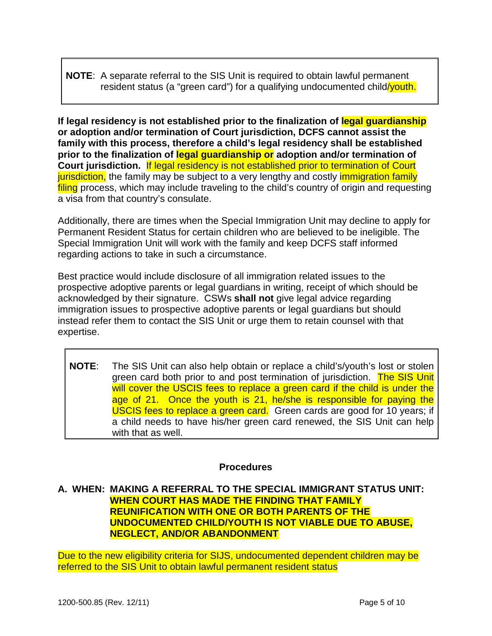## **NOTE**: A separate referral to the SIS Unit is required to obtain lawful permanent resident status (a "green card") for a qualifying undocumented child/youth.

**If legal residency is not established prior to the finalization of legal guardianship or adoption and/or termination of Court jurisdiction, DCFS cannot assist the family with this process, therefore a child's legal residency shall be established prior to the finalization of legal guardianship or adoption and/or termination of Court jurisdiction.** If legal residency is not established prior to termination of Court jurisdiction, the family may be subject to a very lengthy and costly *immigration family* filing process, which may include traveling to the child's country of origin and requesting a visa from that country's consulate.

Additionally, there are times when the Special Immigration Unit may decline to apply for Permanent Resident Status for certain children who are believed to be ineligible. The Special Immigration Unit will work with the family and keep DCFS staff informed regarding actions to take in such a circumstance.

Best practice would include disclosure of all immigration related issues to the prospective adoptive parents or legal guardians in writing, receipt of which should be acknowledged by their signature. CSWs **shall not** give legal advice regarding immigration issues to prospective adoptive parents or legal guardians but should instead refer them to contact the SIS Unit or urge them to retain counsel with that expertise.

**NOTE**: The SIS Unit can also help obtain or replace a child's/youth's lost or stolen green card both prior to and post termination of jurisdiction. The SIS Unit will cover the USCIS fees to replace a green card if the child is under the age of 21. Once the youth is 21, he/she is responsible for paying the USCIS fees to replace a green card. Green cards are good for 10 years; if a child needs to have his/her green card renewed, the SIS Unit can help with that as well.

## **Procedures**

## **A. WHEN: MAKING A REFERRAL TO THE SPECIAL IMMIGRANT STATUS UNIT: WHEN COURT HAS MADE THE FINDING THAT FAMILY REUNIFICATION WITH ONE OR BOTH PARENTS OF THE UNDOCUMENTED CHILD/YOUTH IS NOT VIABLE DUE TO ABUSE, NEGLECT, AND/OR ABANDONMENT**

Due to the new eligibility criteria for SIJS, undocumented dependent children may be referred to the SIS Unit to obtain lawful permanent resident status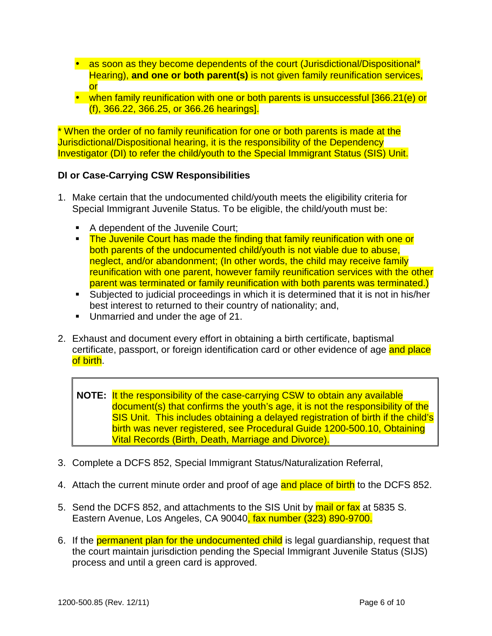- as soon as they become dependents of the court (Jurisdictional/Dispositional<sup>\*</sup> Hearing), **and one or both parent(s)** is not given family reunification services, or
- when family reunification with one or both parents is unsuccessful [366.21(e) or (f), 366.22, 366.25, or 366.26 hearings].

\* When the order of no family reunification for one or both parents is made at the Jurisdictional/Dispositional hearing, it is the responsibility of the Dependency Investigator (DI) to refer the child/youth to the Special Immigrant Status (SIS) Unit.

## **DI or Case-Carrying CSW Responsibilities**

- 1. Make certain that the undocumented child/youth meets the eligibility criteria for Special Immigrant Juvenile Status. To be eligible, the child/youth must be:
	- A dependent of the Juvenile Court;
	- **The Juvenile Court has made the finding that family reunification with one or** both parents of the undocumented child/youth is not viable due to abuse, neglect, and/or abandonment; (In other words, the child may receive family reunification with one parent, however family reunification services with the other parent was terminated or family reunification with both parents was terminated.)
	- Subjected to judicial proceedings in which it is determined that it is not in his/her best interest to returned to their country of nationality; and,
	- Unmarried and under the age of 21.
- 2. Exhaust and document every effort in obtaining a birth certificate, baptismal certificate, passport, or foreign identification card or other evidence of age and place of birth.

**NOTE:** It the responsibility of the case-carrying CSW to obtain any available document(s) that confirms the youth's age, it is not the responsibility of the SIS Unit. This includes obtaining a delayed registration of birth if the child's birth was never registered, see Procedural Guide 1200-500.10, Obtaining Vital Records (Birth, Death, Marriage and Divorce).

- 3. Complete a DCFS 852, Special Immigrant Status/Naturalization Referral,
- 4. Attach the current minute order and proof of age and place of birth to the DCFS 852.
- 5. Send the DCFS 852, and attachments to the SIS Unit by mail or fax at 5835 S. Eastern Avenue, Los Angeles, CA 90040, fax number (323) 890-9700.
- 6. If the permanent plan for the undocumented child is legal quardianship, request that the court maintain jurisdiction pending the Special Immigrant Juvenile Status (SIJS) process and until a green card is approved.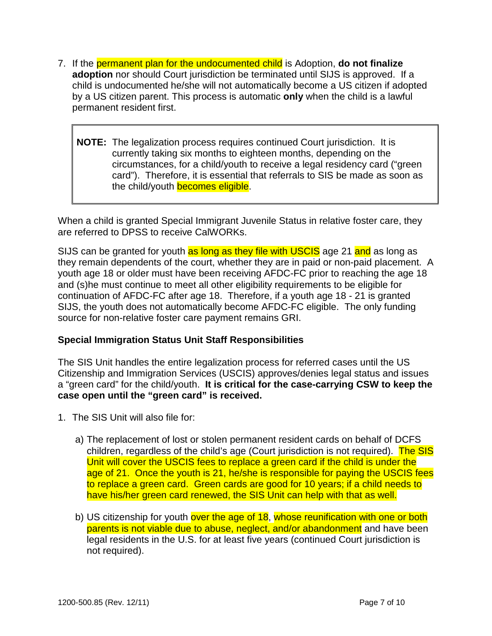- 7. If the permanent plan for the undocumented child is Adoption, **do not finalize adoption** nor should Court jurisdiction be terminated until SIJS is approved. If a child is undocumented he/she will not automatically become a US citizen if adopted by a US citizen parent. This process is automatic **only** when the child is a lawful permanent resident first.
	- **NOTE:** The legalization process requires continued Court jurisdiction. It is currently taking six months to eighteen months, depending on the circumstances, for a child/youth to receive a legal residency card ("green card"). Therefore, it is essential that referrals to SIS be made as soon as the child/youth **becomes eligible**.

When a child is granted Special Immigrant Juvenile Status in relative foster care, they are referred to DPSS to receive CalWORKs.

SIJS can be granted for youth as long as they file with USCIS age 21 and as long as they remain dependents of the court, whether they are in paid or non-paid placement. A youth age 18 or older must have been receiving AFDC-FC prior to reaching the age 18 and (s)he must continue to meet all other eligibility requirements to be eligible for continuation of AFDC-FC after age 18. Therefore, if a youth age 18 - 21 is granted SIJS, the youth does not automatically become AFDC-FC eligible. The only funding source for non-relative foster care payment remains GRI.

## **Special Immigration Status Unit Staff Responsibilities**

The SIS Unit handles the entire legalization process for referred cases until the US Citizenship and Immigration Services (USCIS) approves/denies legal status and issues a "green card" for the child/youth. **It is critical for the case-carrying CSW to keep the case open until the "green card" is received.** 

- 1. The SIS Unit will also file for:
	- a) The replacement of lost or stolen permanent resident cards on behalf of DCFS children, regardless of the child's age (Court jurisdiction is not required). The SIS Unit will cover the USCIS fees to replace a green card if the child is under the age of 21. Once the youth is 21, he/she is responsible for paying the USCIS fees to replace a green card. Green cards are good for 10 years; if a child needs to have his/her green card renewed, the SIS Unit can help with that as well.
	- b) US citizenship for youth over the age of 18, whose reunification with one or both parents is not viable due to abuse, neglect, and/or abandonment and have been legal residents in the U.S. for at least five years (continued Court jurisdiction is not required).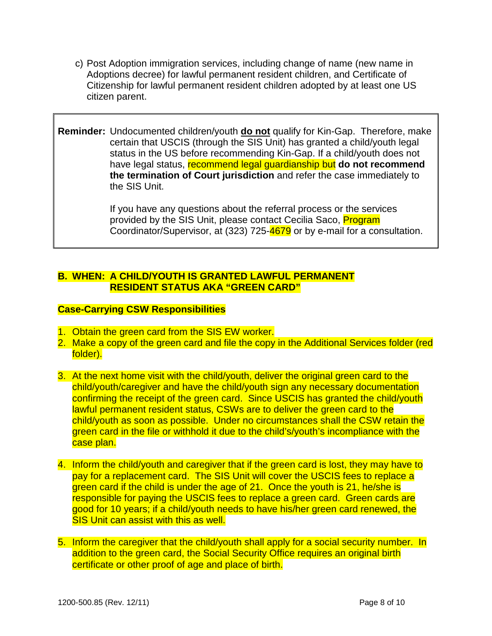- c) Post Adoption immigration services, including change of name (new name in Adoptions decree) for lawful permanent resident children, and Certificate of Citizenship for lawful permanent resident children adopted by at least one US citizen parent.
- **Reminder:** Undocumented children/youth **do not** qualify for Kin-Gap. Therefore, make certain that USCIS (through the SIS Unit) has granted a child/youth legal status in the US before recommending Kin-Gap. If a child/youth does not have legal status, recommend legal guardianship but **do not recommend the termination of Court jurisdiction** and refer the case immediately to the SIS Unit.

If you have any questions about the referral process or the services provided by the SIS Unit, please contact Cecilia Saco, **Program** Coordinator/Supervisor, at (323) 725-4679 or by e-mail for a consultation.

## **B. WHEN: A CHILD/YOUTH IS GRANTED LAWFUL PERMANENT RESIDENT STATUS AKA "GREEN CARD"**

## **Case-Carrying CSW Responsibilities**

- 1. Obtain the green card from the SIS EW worker.
- 2. Make a copy of the green card and file the copy in the Additional Services folder (red folder).
- 3. At the next home visit with the child/youth, deliver the original green card to the child/youth/caregiver and have the child/youth sign any necessary documentation confirming the receipt of the green card. Since USCIS has granted the child/youth lawful permanent resident status, CSWs are to deliver the green card to the child/youth as soon as possible. Under no circumstances shall the CSW retain the green card in the file or withhold it due to the child's/youth's incompliance with the case plan.
- 4. Inform the child/youth and caregiver that if the green card is lost, they may have to pay for a replacement card. The SIS Unit will cover the USCIS fees to replace a green card if the child is under the age of 21. Once the youth is 21, he/she is responsible for paying the USCIS fees to replace a green card. Green cards are good for 10 years; if a child/youth needs to have his/her green card renewed, the SIS Unit can assist with this as well.
- 5. Inform the caregiver that the child/youth shall apply for a social security number. In addition to the green card, the Social Security Office requires an original birth certificate or other proof of age and place of birth.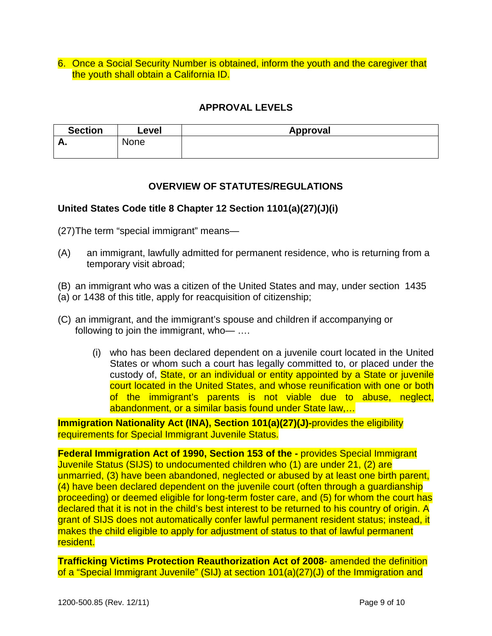6. Once a Social Security Number is obtained, inform the youth and the caregiver that the youth shall obtain a California ID.

## **APPROVAL LEVELS**

| <b>Section</b> | Level | Approval |
|----------------|-------|----------|
| г.             | None  |          |
|                |       |          |

## **OVERVIEW OF STATUTES/REGULATIONS**

## **United States Code title 8 Chapter 12 Section 1101(a)(27)(J)(i)**

(27) The term "special immigrant" means—

- (A) an immigrant, lawfully admitted for permanent residence, who is returning from a temporary visit abroad;
- (B) an immigrant who was a citizen of the United States and may, under section [143](http://lacdcfs.org/Policy/Hndbook CWS/uscode08/usc_sec_08_00001435----000-.html)5
- [\(a](http://lacdcfs.org/Policy/Hndbook CWS/uscode08/usc_sec_08_00001435----000-.html#a)) or [143](http://lacdcfs.org/Policy/Hndbook CWS/uscode08/usc_sec_08_00001438----000-.html)8 of this title, apply for reacquisition of citizenship;
- (C) an immigrant, and the immigrant's spouse and children if accompanying or following to join the immigrant, who-
	- (i) who has been declared dependent on a juvenile court located in the United States or whom such a court has legally committed to, or placed under the custody of, State, or an individual or entity appointed by a State or juvenile court located in the United States, and whose reunification with one or both of the immigrant's parents is not viable due to abuse, neglect, abandonment, or a similar basis found under State law,…

**Immigration Nationality Act (INA), Section 101(a)(27)(J)-provides the eligibility** requirements for Special Immigrant Juvenile Status.

**Federal Immigration Act of 1990, Section 153 of the -** provides Special Immigrant Juvenile Status (SIJS) to undocumented children who (1) are under 21, (2) are unmarried, (3) have been abandoned, neglected or abused by at least one birth parent, (4) have been declared dependent on the juvenile court (often through a guardianship proceeding) or deemed eligible for long-term foster care, and (5) for whom the court has declared that it is not in the child's best interest to be returned to his country of origin. A grant of SIJS does not automatically confer lawful permanent resident status; instead, it makes the child eligible to apply for adjustment of status to that of lawful permanent resident.

**Trafficking Victims Protection Reauthorization Act of 2008**- amended the definition of a "Special Immigrant Juvenile" (SIJ) at section 101(a)(27)(J) of the Immigration and